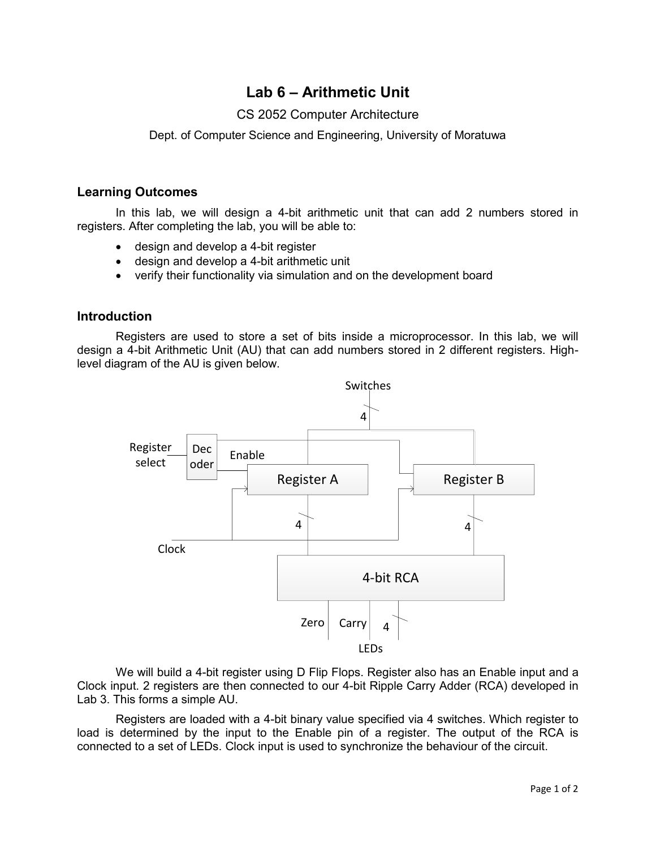# **Lab 6 – Arithmetic Unit**

## CS 2052 Computer Architecture

Dept. of Computer Science and Engineering, University of Moratuwa

#### **Learning Outcomes**

In this lab, we will design a 4-bit arithmetic unit that can add 2 numbers stored in registers. After completing the lab, you will be able to:

- design and develop a 4-bit register
- design and develop a 4-bit arithmetic unit
- verify their functionality via simulation and on the development board

### **Introduction**

Registers are used to store a set of bits inside a microprocessor. In this lab, we will design a 4-bit Arithmetic Unit (AU) that can add numbers stored in 2 different registers. Highlevel diagram of the AU is given below.



We will build a 4-bit register using D Flip Flops. Register also has an Enable input and a Clock input. 2 registers are then connected to our 4-bit Ripple Carry Adder (RCA) developed in Lab 3. This forms a simple AU.

Registers are loaded with a 4-bit binary value specified via 4 switches. Which register to load is determined by the input to the Enable pin of a register. The output of the RCA is connected to a set of LEDs. Clock input is used to synchronize the behaviour of the circuit.